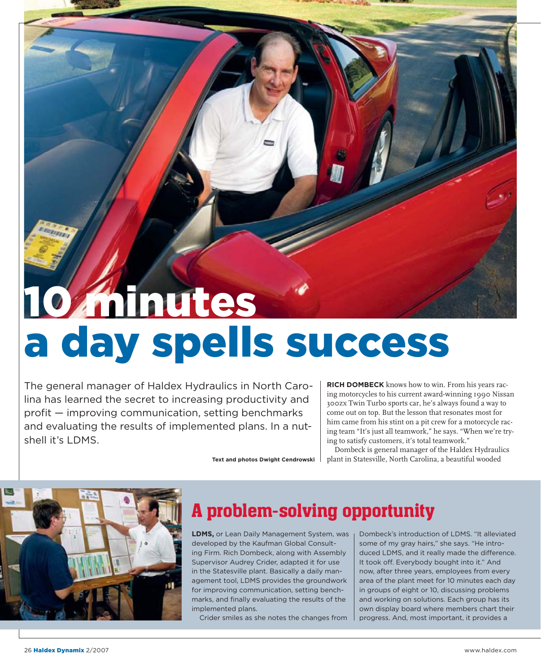## 10 Minutes a day spells success

The general manager of Haldex Hydraulics in North Carolina has learned the secret to increasing productivity and  $\text{profit}$  - improving communication, setting benchmarks and evaluating the results of implemented plans. In a nutshell it's LDMS.

**RICH DOMBECK** knows how to win. From his years racing motorcycles to his current award-winning 1990 Nissan 300zx Twin Turbo sports car, he's always found a way to come out on top. But the lesson that resonates most for him came from his stint on a pit crew for a motorcycle racing team "It's just all teamwork," he says. "When we're trying to satisfy customers, it's total teamwork."

Dombeck is general manager of the Haldex Hydraulics plant in Statesville, North Carolina, a beautiful wooded



## A problem-solving opportunity

**LDMS, or Lean Daily Management System, was** developed by the Kaufman Global Consulting Firm. Rich Dombeck, along with Assembly Supervisor Audrey Crider, adapted it for use in the Statesville plant. Basically a daily management tool, LDMS provides the groundwork for improving communication, setting benchmarks, and finally evaluating the results of the implemented plans.

**Text and photos Dwight Cendrowski** 

Crider smiles as she notes the changes from

Dombeck's introduction of LDMS. "It alleviated some of my gray hairs," she says. "He introduced LDMS, and it really made the difference. It took off. Everybody bought into it." And now, after three years, employees from every area of the plant meet for 10 minutes each day in groups of eight or 10, discussing problems and working on solutions. Each group has its own display board where members chart their progress. And, most important, it provides a